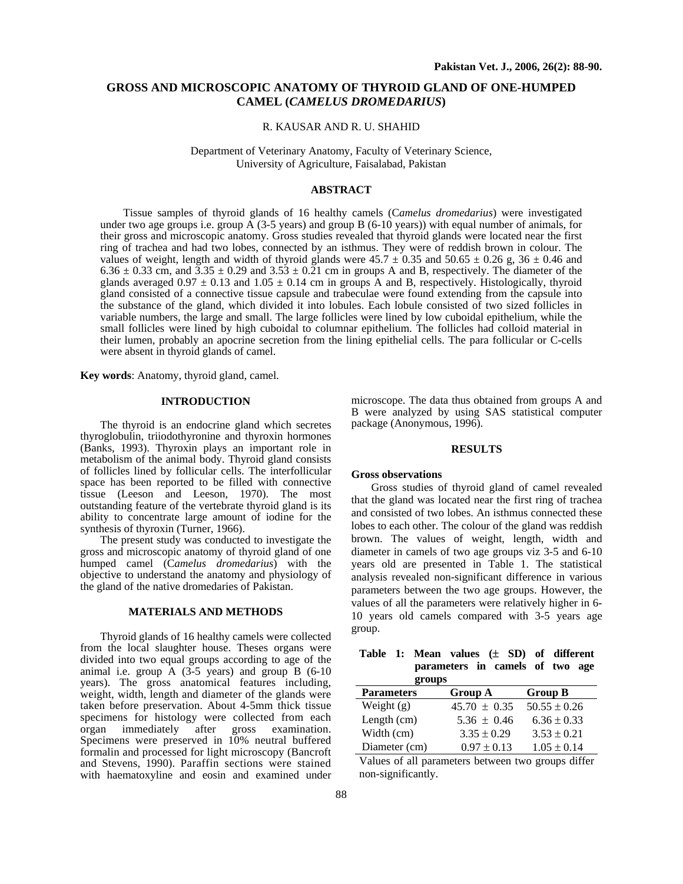# **GROSS AND MICROSCOPIC ANATOMY OF THYROID GLAND OF ONE-HUMPED CAMEL (***CAMELUS DROMEDARIUS***)**

### R. KAUSAR AND R. U. SHAHID

Department of Veterinary Anatomy, Faculty of Veterinary Science, University of Agriculture, Faisalabad, Pakistan

# **ABSTRACT**

Tissue samples of thyroid glands of 16 healthy camels (C*amelus dromedarius*) were investigated under two age groups i.e. group A (3-5 years) and group B (6-10 years)) with equal number of animals, for their gross and microscopic anatomy. Gross studies revealed that thyroid glands were located near the first ring of trachea and had two lobes, connected by an isthmus. They were of reddish brown in colour. The values of weight, length and width of thyroid glands were  $45.7 \pm 0.35$  and  $50.65 \pm 0.26$  g,  $36 \pm 0.46$  and  $6.36 \pm 0.33$  cm, and  $3.35 \pm 0.29$  and  $3.53 \pm 0.21$  cm in groups A and B, respectively. The diameter of the glands averaged  $0.97 \pm 0.13$  and  $1.05 \pm 0.14$  cm in groups A and B, respectively. Histologically, thyroid gland consisted of a connective tissue capsule and trabeculae were found extending from the capsule into the substance of the gland, which divided it into lobules. Each lobule consisted of two sized follicles in variable numbers, the large and small. The large follicles were lined by low cuboidal epithelium, while the small follicles were lined by high cuboidal to columnar epithelium. The follicles had colloid material in their lumen, probably an apocrine secretion from the lining epithelial cells. The para follicular or C-cells were absent in thyroid glands of camel.

**Key words**: Anatomy, thyroid gland, camel.

## **INTRODUCTION**

The thyroid is an endocrine gland which secretes thyroglobulin, triiodothyronine and thyroxin hormones (Banks, 1993). Thyroxin plays an important role in metabolism of the animal body. Thyroid gland consists of follicles lined by follicular cells. The interfollicular space has been reported to be filled with connective tissue (Leeson and Leeson, 1970). The most outstanding feature of the vertebrate thyroid gland is its ability to concentrate large amount of iodine for the synthesis of thyroxin (Turner, 1966).

The present study was conducted to investigate the gross and microscopic anatomy of thyroid gland of one humped camel (C*amelus dromedarius*) with the objective to understand the anatomy and physiology of the gland of the native dromedaries of Pakistan.

#### **MATERIALS AND METHODS**

Thyroid glands of 16 healthy camels were collected from the local slaughter house. Theses organs were divided into two equal groups according to age of the animal i.e. group  $\hat{A}$  (3-5 years) and group B (6-10 years). The gross anatomical features including, weight, width, length and diameter of the glands were taken before preservation. About 4-5mm thick tissue specimens for histology were collected from each organ immediately after gross examination. Specimens were preserved in 10% neutral buffered formalin and processed for light microscopy (Bancroft and Stevens, 1990). Paraffin sections were stained with haematoxyline and eosin and examined under

microscope. The data thus obtained from groups A and B were analyzed by using SAS statistical computer package (Anonymous, 1996).

## **RESULTS**

### **Gross observations**

Gross studies of thyroid gland of camel revealed that the gland was located near the first ring of trachea and consisted of two lobes. An isthmus connected these lobes to each other. The colour of the gland was reddish brown. The values of weight, length, width and diameter in camels of two age groups viz 3-5 and 6-10 years old are presented in Table 1. The statistical analysis revealed non-significant difference in various parameters between the two age groups. However, the values of all the parameters were relatively higher in 6- 10 years old camels compared with 3-5 years age group.

|  |                                 |  |  |  | Table 1: Mean values (± SD) of different |  |
|--|---------------------------------|--|--|--|------------------------------------------|--|
|  | parameters in camels of two age |  |  |  |                                          |  |
|  | <i><b>GPAIING</b></i>           |  |  |  |                                          |  |

| gruups            |                  |                  |  |  |  |  |
|-------------------|------------------|------------------|--|--|--|--|
| <b>Parameters</b> | Group A          | <b>Group B</b>   |  |  |  |  |
| Weight $(g)$      | $45.70 \pm 0.35$ | $50.55 \pm 0.26$ |  |  |  |  |
| Length (cm)       | $5.36 \pm 0.46$  | $6.36 \pm 0.33$  |  |  |  |  |
| Width (cm)        | $3.35 \pm 0.29$  | $3.53 \pm 0.21$  |  |  |  |  |
| Diameter (cm)     | $0.97 \pm 0.13$  | $1.05 \pm 0.14$  |  |  |  |  |

Values of all parameters between two groups differ non-significantly.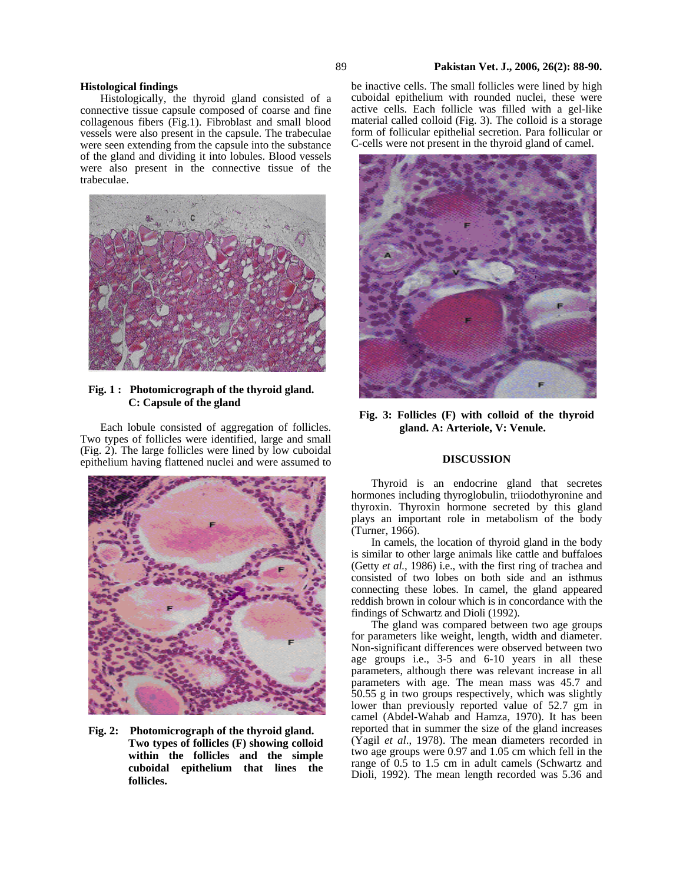#### **Histological findings**

Histologically, the thyroid gland consisted of a connective tissue capsule composed of coarse and fine collagenous fibers (Fig.1). Fibroblast and small blood vessels were also present in the capsule. The trabeculae were seen extending from the capsule into the substance of the gland and dividing it into lobules. Blood vessels were also present in the connective tissue of the trabeculae.



## **Fig. 1 : Photomicrograph of the thyroid gland. C: Capsule of the gland**

Each lobule consisted of aggregation of follicles. Two types of follicles were identified, large and small (Fig. 2). The large follicles were lined by low cuboidal epithelium having flattened nuclei and were assumed to



**Fig. 2: Photomicrograph of the thyroid gland. Two types of follicles (F) showing colloid within the follicles and the simple cuboidal epithelium that lines the follicles.** 

be inactive cells. The small follicles were lined by high cuboidal epithelium with rounded nuclei, these were active cells. Each follicle was filled with a gel-like material called colloid (Fig. 3). The colloid is a storage form of follicular epithelial secretion. Para follicular or C-cells were not present in the thyroid gland of camel.



**Fig. 3: Follicles (F) with colloid of the thyroid gland. A: Arteriole, V: Venule.** 

#### **DISCUSSION**

Thyroid is an endocrine gland that secretes hormones including thyroglobulin, triiodothyronine and thyroxin. Thyroxin hormone secreted by this gland plays an important role in metabolism of the body (Turner, 1966).

In camels, the location of thyroid gland in the body is similar to other large animals like cattle and buffaloes (Getty *et al.,* 1986) i.e., with the first ring of trachea and consisted of two lobes on both side and an isthmus connecting these lobes. In camel, the gland appeared reddish brown in colour which is in concordance with the findings of Schwartz and Dioli (1992).

The gland was compared between two age groups for parameters like weight, length, width and diameter. Non-significant differences were observed between two age groups i.e., 3-5 and 6-10 years in all these parameters, although there was relevant increase in all parameters with age. The mean mass was 45.7 and 50.55 g in two groups respectively, which was slightly lower than previously reported value of 52.7 gm in camel (Abdel-Wahab and Hamza, 1970). It has been reported that in summer the size of the gland increases (Yagil *et al*., 1978). The mean diameters recorded in two age groups were 0.97 and 1.05 cm which fell in the range of 0.5 to 1.5 cm in adult camels (Schwartz and Dioli, 1992). The mean length recorded was 5.36 and